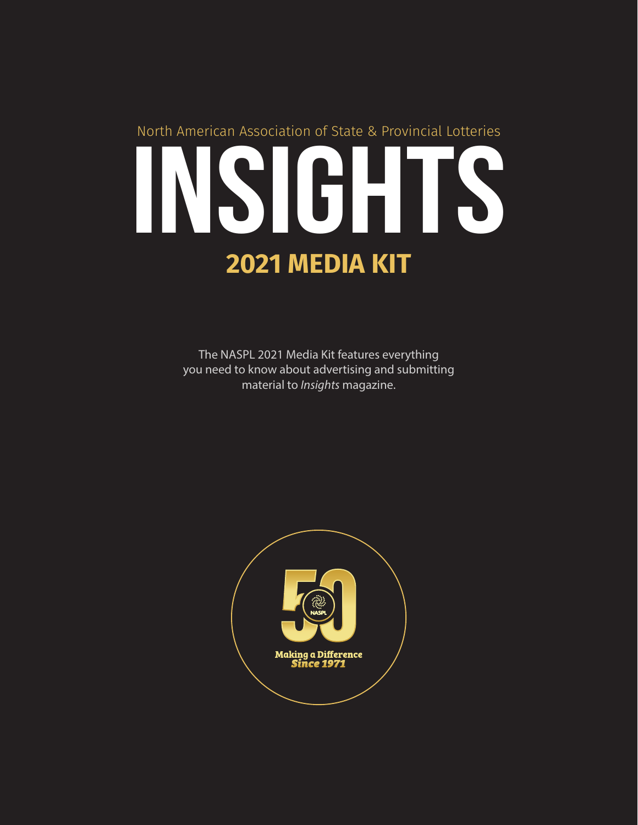# INSIGHTS **2021 MEDIA KIT** North American Association of State & Provincial Lotteries

The NASPL 2021 Media Kit features everything you need to know about advertising and submitting material to *Insights* magazine.

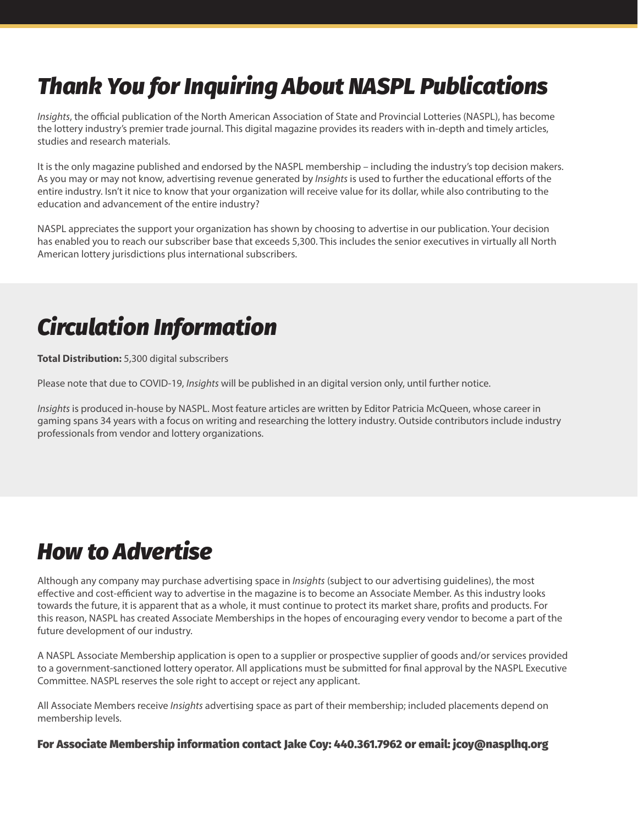## *Thank You for Inquiring About NASPL Publications*

*Insights*, the official publication of the North American Association of State and Provincial Lotteries (NASPL), has become the lottery industry's premier trade journal. This digital magazine provides its readers with in-depth and timely articles, studies and research materials.

It is the only magazine published and endorsed by the NASPL membership – including the industry's top decision makers. As you may or may not know, advertising revenue generated by *Insights* is used to further the educational efforts of the entire industry. Isn't it nice to know that your organization will receive value for its dollar, while also contributing to the education and advancement of the entire industry?

NASPL appreciates the support your organization has shown by choosing to advertise in our publication. Your decision has enabled you to reach our subscriber base that exceeds 5,300. This includes the senior executives in virtually all North American lottery jurisdictions plus international subscribers.

# *Circulation Information*

**Total Distribution:** 5,300 digital subscribers

Please note that due to COVID-19, *Insights* will be published in an digital version only, until further notice.

*Insights* is produced in-house by NASPL. Most feature articles are written by Editor Patricia McQueen, whose career in gaming spans 34 years with a focus on writing and researching the lottery industry. Outside contributors include industry professionals from vendor and lottery organizations.

## *How to Advertise*

Although any company may purchase advertising space in *Insights* (subject to our advertising guidelines), the most effective and cost-efficient way to advertise in the magazine is to become an Associate Member. As this industry looks towards the future, it is apparent that as a whole, it must continue to protect its market share, profits and products. For this reason, NASPL has created Associate Memberships in the hopes of encouraging every vendor to become a part of the future development of our industry.

A NASPL Associate Membership application is open to a supplier or prospective supplier of goods and/or services provided to a government-sanctioned lottery operator. All applications must be submitted for final approval by the NASPL Executive Committee. NASPL reserves the sole right to accept or reject any applicant.

All Associate Members receive *Insights* advertising space as part of their membership; included placements depend on membership levels.

For Associate Membership information contact Jake Coy: 440.361.7962 or email: jcoy@nasplhq.org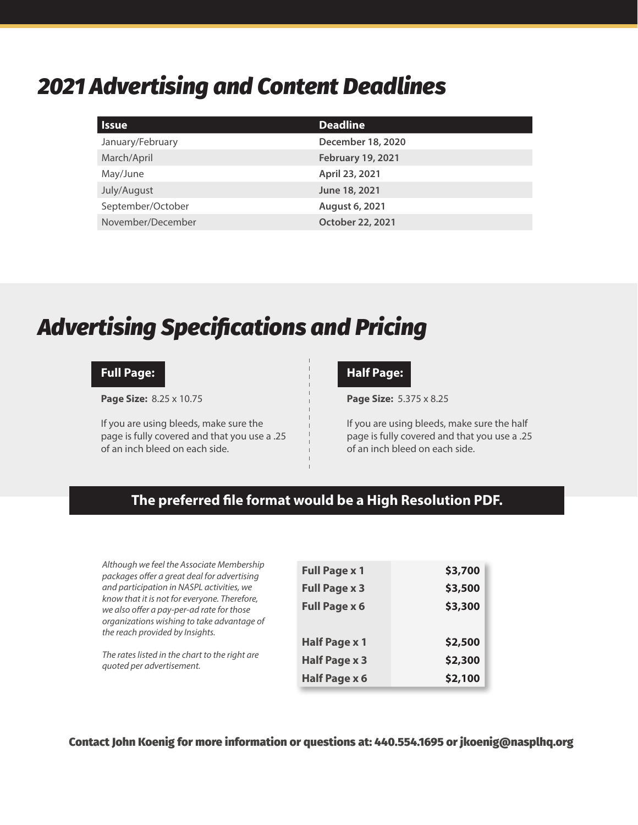## *2021 Advertising and Content Deadlines*

| <b>Issue</b>      | <b>Deadline</b>          |
|-------------------|--------------------------|
| January/February  | December 18, 2020        |
| March/April       | <b>February 19, 2021</b> |
| May/June          | April 23, 2021           |
| July/August       | June 18, 2021            |
| September/October | August 6, 2021           |
| November/December | October 22, 2021         |

## *Advertising Specifications and Pricing*

### **Full Page:**

**Page Size:** 8.25 x 10.75

If you are using bleeds, make sure the page is fully covered and that you use a .25 of an inch bleed on each side.

### **Half Page:**

**Page Size:** 5.375 x 8.25

If you are using bleeds, make sure the half page is fully covered and that you use a .25 of an inch bleed on each side.

## **The preferred file format would be a High Resolution PDF.**

*Although we feel the Associate Membership packages offer a great deal for advertising and participation in NASPL activities, we know that it is not for everyone. Therefore, we also offer a pay-per-ad rate for those organizations wishing to take advantage of the reach provided by Insights.*

*The rates listed in the chart to the right are quoted per advertisement.*

| <b>Full Page x 1</b> | \$3,700 |
|----------------------|---------|
| <b>Full Page x 3</b> | \$3,500 |
| <b>Full Page x 6</b> | \$3,300 |
|                      |         |
| <b>Half Page x 1</b> | \$2,500 |
| <b>Half Page x 3</b> | \$2,300 |
| Half Page x 6        | \$2,100 |

Contact John Koenig for more information or questions at: 440.554.1695 or jkoenig@nasplhq.org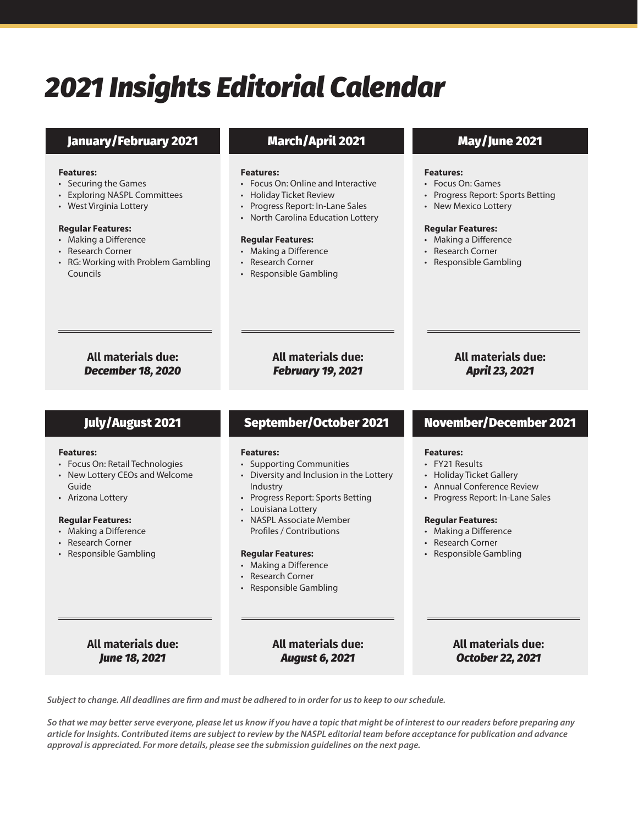# *2021 Insights Editorial Calendar*

## January/February 2021 March/April 2021 May/June 2021

#### **Features:**

- Securing the Games
- Exploring NASPL Committees
- West Virginia Lottery

### **Regular Features:**

- Making a Difference
- Research Corner
- RG: Working with Problem Gambling Councils

#### **Features:**

- Focus On: Online and Interactive
- Holiday Ticket Review
- Progress Report: In-Lane Sales
- North Carolina Education Lottery

#### **Regular Features:**

- Making a Difference
- Research Corner
- Responsible Gambling

#### **Features:**

- Focus On: Games
- Progress Report: Sports Betting
- New Mexico Lottery

### **Regular Features:**

- Making a Difference
- Research Corner
- Responsible Gambling

### **All materials due:**  *December 18, 2020*

**All materials due:**  *February 19, 2021*

## **All materials due:**  *April 23, 2021*

#### **Features:**

- Focus On: Retail Technologies
- New Lottery CEOs and Welcome Guide
- Arizona Lottery

### **Regular Features:**

- Making a Difference
- Research Corner
- Responsible Gambling

### **Features:**

- Supporting Communities
- Diversity and Inclusion in the Lottery Industry
- Progress Report: Sports Betting
- Louisiana Lottery
- NASPL Associate Member Profiles / Contributions

#### **Regular Features:**

- Making a Difference
- Research Corner
- Responsible Gambling

## July/August 2021 September/October 2021 November/December 2021

### **Features:**

- FY21 Results
- Holiday Ticket Gallery
- Annual Conference Review
- Progress Report: In-Lane Sales

#### **Regular Features:**

- Making a Difference
- Research Corner
- Responsible Gambling

### **All materials due:**  *June 18, 2021*

### **All materials due:**  *August 6, 2021*

**All materials due:**  *October 22, 2021* 

*Subject to change. All deadlines are firm and must be adhered to in order for us to keep to our schedule.*

*So that we may better serve everyone, please let us know if you have a topic that might be of interest to our readers before preparing any article for Insights. Contributed items are subject to review by the NASPL editorial team before acceptance for publication and advance approval is appreciated. For more details, please see the submission guidelines on the next page.*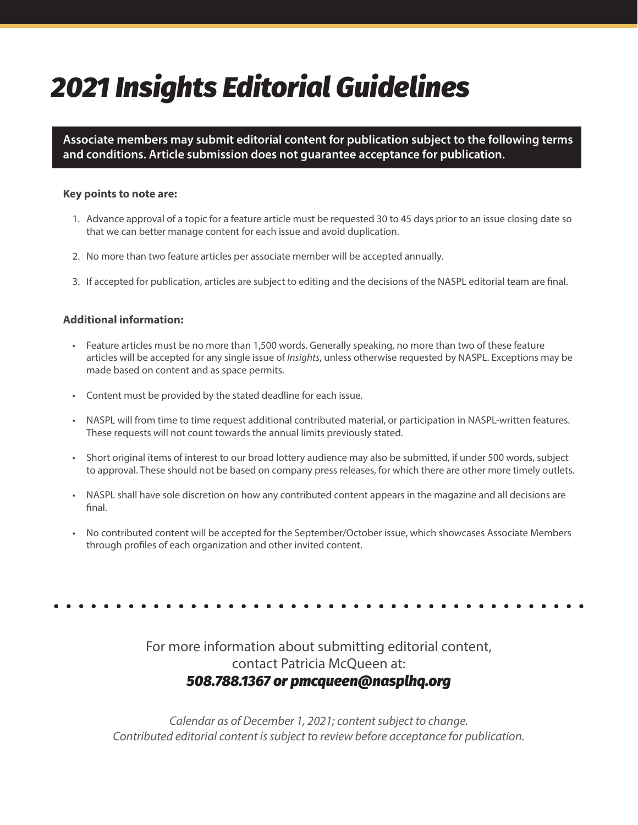# *2021 Insights Editorial Guidelines*

**Associate members may submit editorial content for publication subject to the following terms and conditions. Article submission does not guarantee acceptance for publication.**

### **Key points to note are:**

- 1. Advance approval of a topic for a feature article must be requested 30 to 45 days prior to an issue closing date so that we can better manage content for each issue and avoid duplication.
- 2. No more than two feature articles per associate member will be accepted annually.
- 3. If accepted for publication, articles are subject to editing and the decisions of the NASPL editorial team are final.

### **Additional information:**

- Feature articles must be no more than 1,500 words. Generally speaking, no more than two of these feature articles will be accepted for any single issue of *Insights*, unless otherwise requested by NASPL. Exceptions may be made based on content and as space permits.
- Content must be provided by the stated deadline for each issue.
- NASPL will from time to time request additional contributed material, or participation in NASPL-written features. These requests will not count towards the annual limits previously stated.
- Short original items of interest to our broad lottery audience may also be submitted, if under 500 words, subject to approval. These should not be based on company press releases, for which there are other more timely outlets.
- NASPL shall have sole discretion on how any contributed content appears in the magazine and all decisions are final.
- No contributed content will be accepted for the September/October issue, which showcases Associate Members through profiles of each organization and other invited content.

## For more information about submitting editorial content, contact Patricia McQueen at: *508.788.1367 or pmcqueen@nasplhq.org*

*Calendar as of December 1, 2021; content subject to change. Contributed editorial content is subject to review before acceptance for publication.*